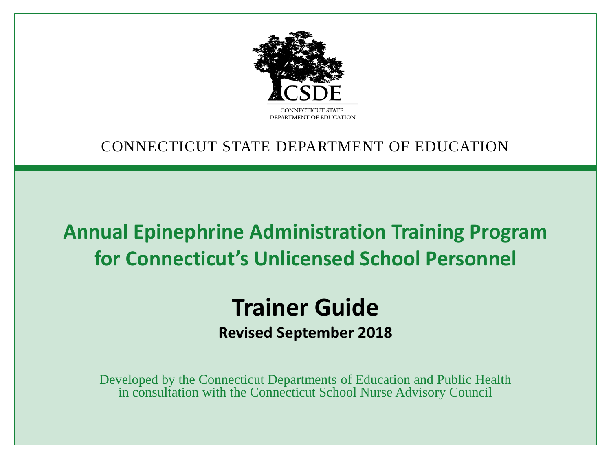

#### CONNECTICUT STATE DEPARTMENT OF EDUCATION

#### **Annual Epinephrine Administration Training Program for Connecticut's Unlicensed School Personnel**

#### **Trainer Guide Revised September 2018**

Developed by the Connecticut Departments of Education and Public Health in consultation with the Connecticut School Nurse Advisory Council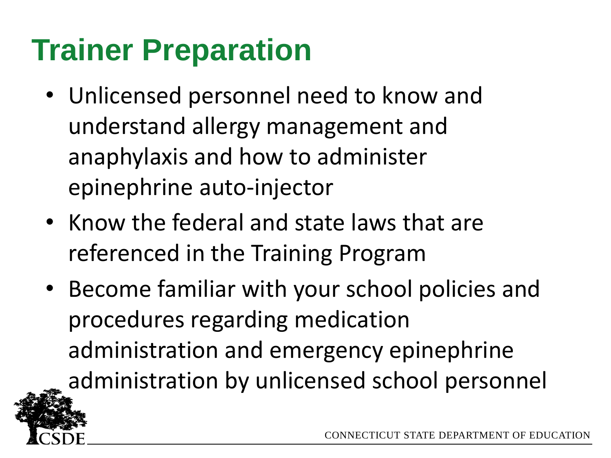## **Trainer Preparation**

- Unlicensed personnel need to know and understand allergy management and anaphylaxis and how to administer epinephrine auto-injector
- Know the federal and state laws that are referenced in the Training Program
- Become familiar with your school policies and procedures regarding medication administration and emergency epinephrine administration by unlicensed school personnel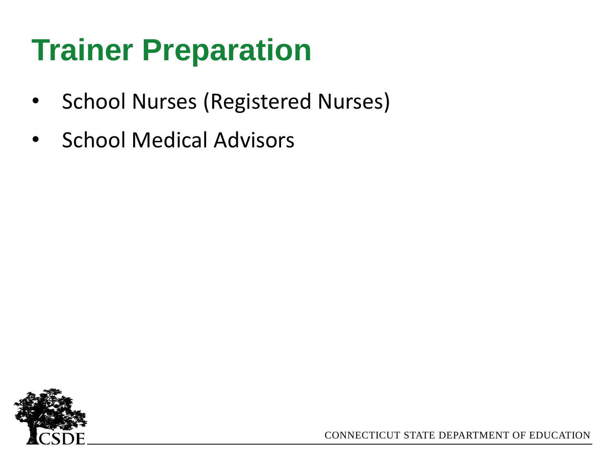## **Trainer Preparation**

- School Nurses (Registered Nurses)
- School Medical Advisors

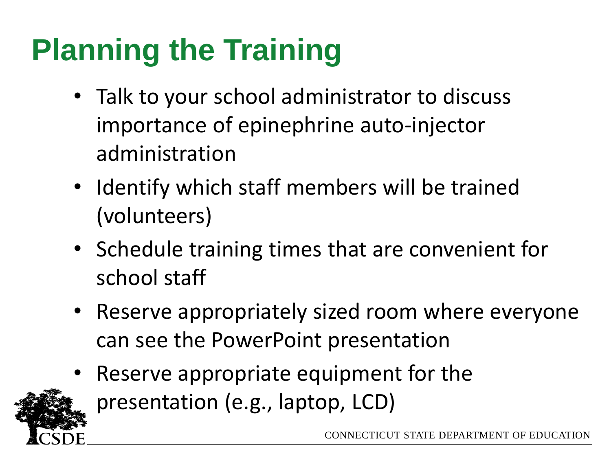# **Planning the Training**

- Talk to your school administrator to discuss importance of epinephrine auto-injector administration
- Identify which staff members will be trained (volunteers)
- Schedule training times that are convenient for school staff
- Reserve appropriately sized room where everyone can see the PowerPoint presentation
- Reserve appropriate equipment for the presentation (e.g., laptop, LCD)

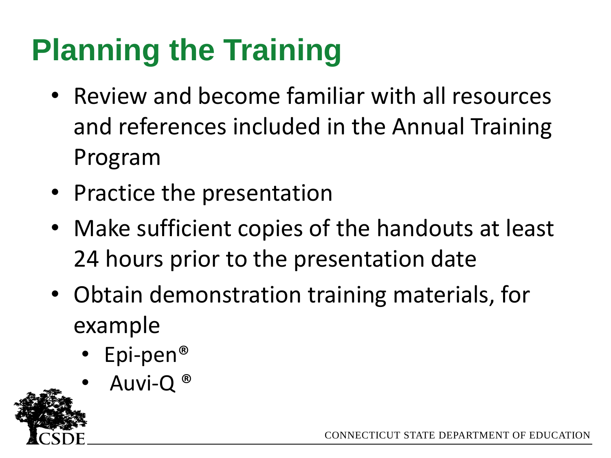# **Planning the Training**

- Review and become familiar with all resources and references included in the Annual Training Program
- Practice the presentation
- Make sufficient copies of the handouts at least 24 hours prior to the presentation date
- Obtain demonstration training materials, for example
	- Epi-pen®
	- Auvi-Q<sup>®</sup>

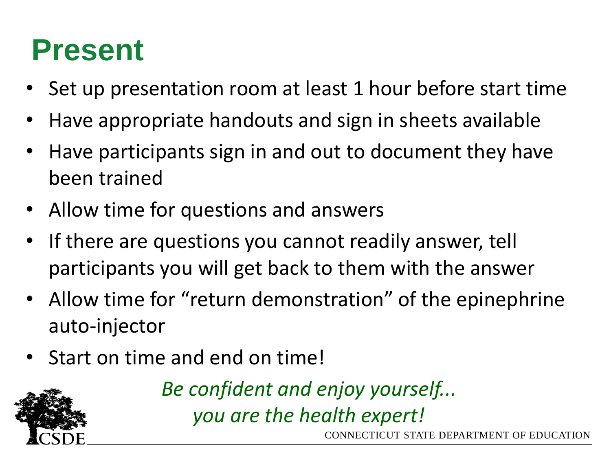#### **Present**

- Set up presentation room at least 1 hour before start time
- Have appropriate handouts and sign in sheets available
- Have participants sign in and out to document they have been trained
- Allow time for questions and answers
- If there are questions you cannot readily answer, tell participants you will get back to them with the answer
- Allow time for "return demonstration" of the epinephrine auto-injector
- Start on time and end on time!



*Be confident and enjoy yourself... you are the health expert!*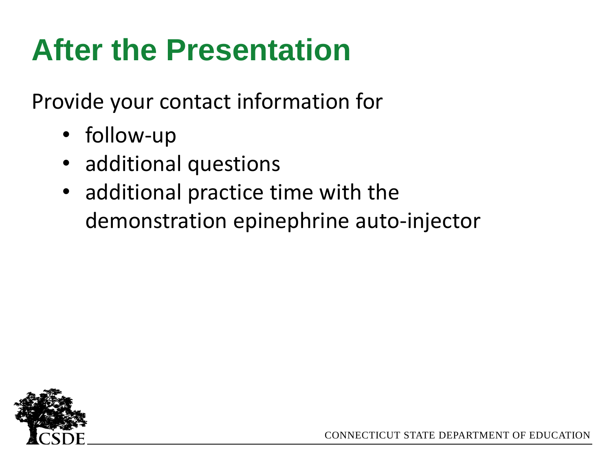## **After the Presentation**

Provide your contact information for

- follow-up
- additional questions
- additional practice time with the demonstration epinephrine auto-injector

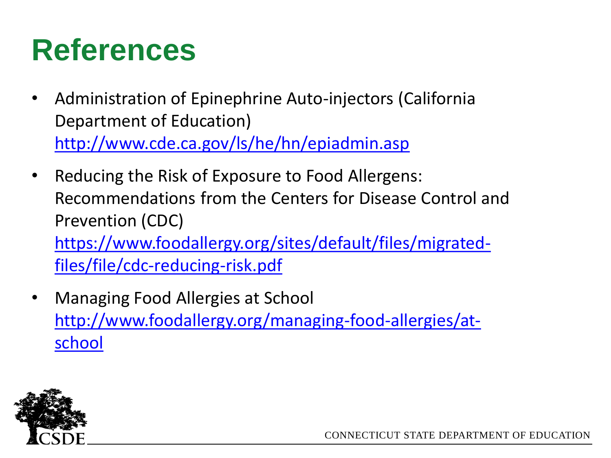#### **References**

- Administration of Epinephrine Auto-injectors (California Department of Education) <http://www.cde.ca.gov/ls/he/hn/epiadmin.asp>
- Reducing the Risk of Exposure to Food Allergens: Recommendations from the Centers for Disease Control and Prevention (CDC) [https://www.foodallergy.org/sites/default/files/migrated](https://www.foodallergy.org/sites/default/files/migrated-files/file/cdc-reducing-risk.pdf)files/file/cdc-reducing-risk.pdf
- Managing Food Allergies at School [http://www.foodallergy.org/managing-food-allergies/at](http://www.foodallergy.org/managing-food-allergies/at-school)school

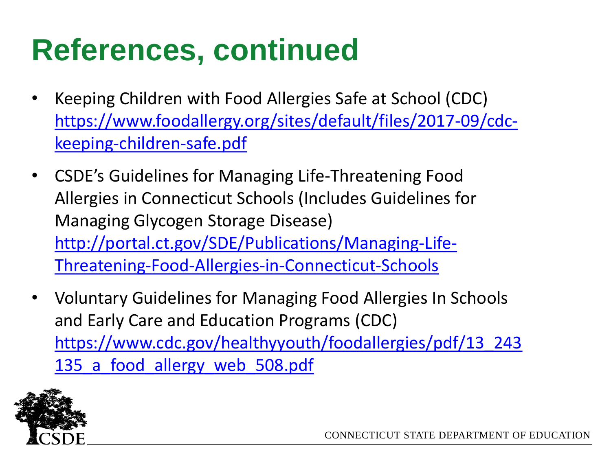### **References, continued**

- Keeping Children with Food Allergies Safe at School (CDC) [https://www.foodallergy.org/sites/default/files/2017-09/cdc](https://www.foodallergy.org/sites/default/files/2017-09/cdc-keeping-children-safe.pdf)keeping-children-safe.pdf
- CSDE's Guidelines for Managing Life-Threatening Food Allergies in Connecticut Schools (Includes Guidelines for Managing Glycogen Storage Disease) [http://portal.ct.gov/SDE/Publications/Managing-Life-](http://portal.ct.gov/SDE/Publications/Managing-Life-Threatening-Food-Allergies-in-Connecticut-Schools)Threatening-Food-Allergies-in-Connecticut-Schools
- Voluntary Guidelines for Managing Food Allergies In Schools and Early Care and Education Programs (CDC) [https://www.cdc.gov/healthyyouth/foodallergies/pdf/13\\_243](https://www.cdc.gov/healthyyouth/foodallergies/pdf/13_243135_a_food_allergy_web_508.pdf) 135 a food allergy web 508.pdf